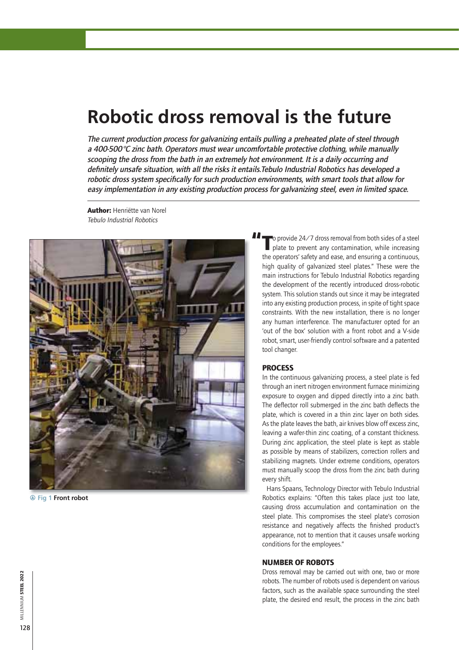# **Robotic dross removal is the future**

The current production process for galvanizing entails pulling a preheated plate of steel through a 400-500 $\degree$ C zinc bath. Operators must wear uncomfortable protective clothing, while manually scooping the dross from the bath in an extremely hot environment. It is a daily occurring and definitely unsafe situation, with all the risks it entails. Tebulo Industrial Robotics has developed a robotic dross system specifically for such production environments, with smart tools that allow for easy implementation in any existing production process for galvanizing steel, even in limited space.

Author: Henriëtte van Norel *Tebulo Industrial Robotics*



**A** Fig 1 Front robot

To provide 24/7 dross removal from both sides of a steel<br>plate to prevent any contamination, while increasing the operators' safety and ease, and ensuring a continuous, high quality of galvanized steel plates." These were the main instructions for Tebulo Industrial Robotics regarding the development of the recently introduced dross-robotic system. This solution stands out since it may be integrated into any existing production process, in spite of tight space constraints. With the new installation, there is no longer any human interference. The manufacturer opted for an 'out of the box' solution with a front robot and a V-side robot, smart, user-friendly control software and a patented tool changer.

#### **PROCESS**

In the continuous galvanizing process, a steel plate is fed through an inert nitrogen environment furnace minimizing exposure to oxygen and dipped directly into a zinc bath. The deflector roll submerged in the zinc bath deflects the plate, which is covered in a thin zinc layer on both sides. As the plate leaves the bath, air knives blow off excess zinc, leaving a wafer-thin zinc coating, of a constant thickness. During zinc application, the steel plate is kept as stable as possible by means of stabilizers, correction rollers and stabilizing magnets. Under extreme conditions, operators must manually scoop the dross from the zinc bath during every shift.

Hans Spaans, Technology Director with Tebulo Industrial Robotics explains: "Often this takes place just too late, causing dross accumulation and contamination on the steel plate. This compromises the steel plate's corrosion resistance and negatively affects the finished product's appearance, not to mention that it causes unsafe working conditions for the employees."

#### **NUMBER OF ROBOTS**

Dross removal may be carried out with one, two or more robots. The number of robots used is dependent on various factors, such as the available space surrounding the steel plate, the desired end result, the process in the zinc bath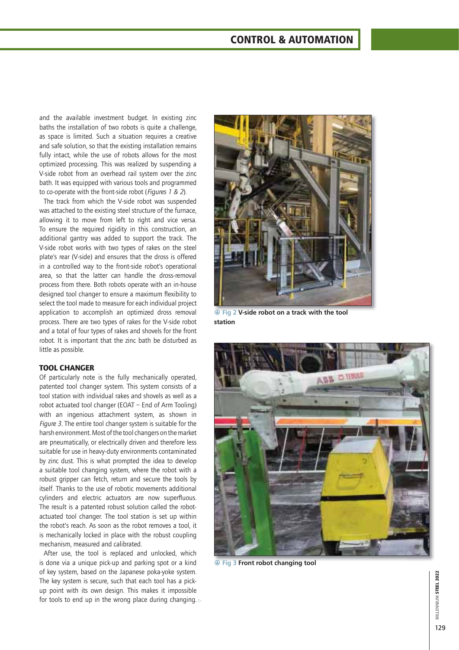### **CONTROL & AUTOMATION**

and the available investment budget. In existing zinc baths the installation of two robots is quite a challenge, as space is limited. Such a situation requires a creative and safe solution, so that the existing installation remains fully intact, while the use of robots allows for the most optimized processing. This was realized by suspending a V-side robot from an overhead rail system over the zinc bath. It was equipped with various tools and programmed to co-operate with the front-side robot (*Figures 1 & 2*).

The track from which the V-side robot was suspended was attached to the existing steel structure of the furnace, allowing it to move from left to right and vice versa. To ensure the required rigidity in this construction, an additional gantry was added to support the track. The V-side robot works with two types of rakes on the steel plate's rear (V-side) and ensures that the dross is offered in a controlled way to the front-side robot's operational area, so that the latter can handle the dross-removal process from there. Both robots operate with an in-house designed tool changer to ensure a maximum flexibility to select the tool made to measure for each individual project application to accomplish an optimized dross removal process. There are two types of rakes for the V-side robot and a total of four types of rakes and shovels for the front robot. It is important that the zinc bath be disturbed as little as possible.

#### **TOOL CHANGER**

Of particularly note is the fully mechanically operated, patented tool changer system. This system consists of a tool station with individual rakes and shovels as well as a robot actuated tool changer (EOAT  $-$  End of Arm Tooling) with an ingenious attachment system, as shown in *Figure 3*. The entire tool changer system is suitable for the harsh environment. Most of the tool changers on the market are pneumatically, or electrically driven and therefore less suitable for use in heavy-duty environments contaminated by zinc dust. This is what prompted the idea to develop a suitable tool changing system, where the robot with a robust gripper can fetch, return and secure the tools by itself. Thanks to the use of robotic movements additional cylinders and electric actuators are now superfluous. The result is a patented robust solution called the robotactuated tool changer. The tool station is set up within the robot's reach. As soon as the robot removes a tool, it is mechanically locked in place with the robust coupling mechanism, measured and calibrated.

for tools to end up in the wrong place during changing.  $\triangleright$ After use, the tool is replaced and unlocked, which is done via a unique pick-up and parking spot or a kind of key system, based on the Japanese poka-yoke system. The key system is secure, such that each tool has a pickup point with its own design. This makes it impossible



**A** Fig 2 V-side robot on a track with the tool **station**



 $\circledR$  Fig 3 Front robot changing tool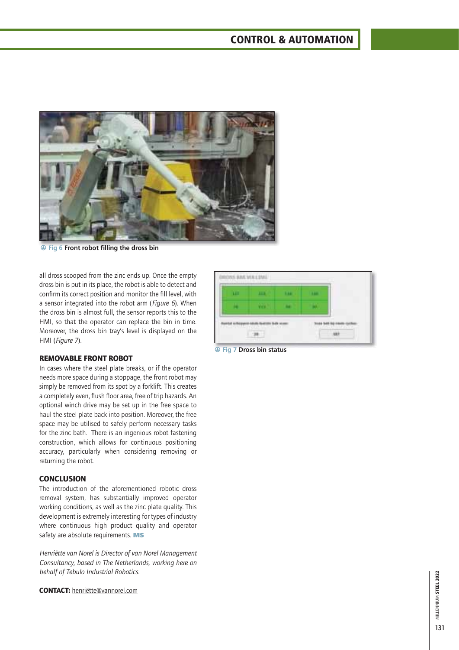## **CONTROL & AUTOMATION**



**A** Fig 6 Front robot filling the dross bin

all dross scooped from the zinc ends up. Once the empty dross bin is put in its place, the robot is able to detect and confirm its correct position and monitor the fill level, with a sensor integrated into the robot arm (*Figure 6*). When the dross bin is almost full, the sensor reports this to the HMI, so that the operator can replace the bin in time. Moreover, the dross bin tray's level is displayed on the HMI (*Figure 7*).



**@ Fig 7 Dross bin status** 

#### **REMOVABLE FRONT ROBOT**

In cases where the steel plate breaks, or if the operator needs more space during a stoppage, the front robot may simply be removed from its spot by a forklift. This creates a completely even, flush floor area, free of trip hazards. An optional winch drive may be set up in the free space to haul the steel plate back into position. Moreover, the free space may be utilised to safely perform necessary tasks for the zinc bath. There is an ingenious robot fastening construction, which allows for continuous positioning accuracy, particularly when considering removing or returning the robot.

#### **CONCLUSION**

The introduction of the aforementioned robotic dross removal system, has substantially improved operator working conditions, as well as the zinc plate quality. This development is extremely interesting for types of industry where continuous high product quality and operator safety are absolute requirements. **MS**

**Henriëtte van Norel is Director of van Norel Management** *Consultancy, based in The Netherlands, working here on behalf of Tebulo Industrial Robotics.*

**CONTACT:** henriëtte@vannorel.com

## MILLENNIUM **STEEL 2022** MILLENNIUM STEEL 2022 131